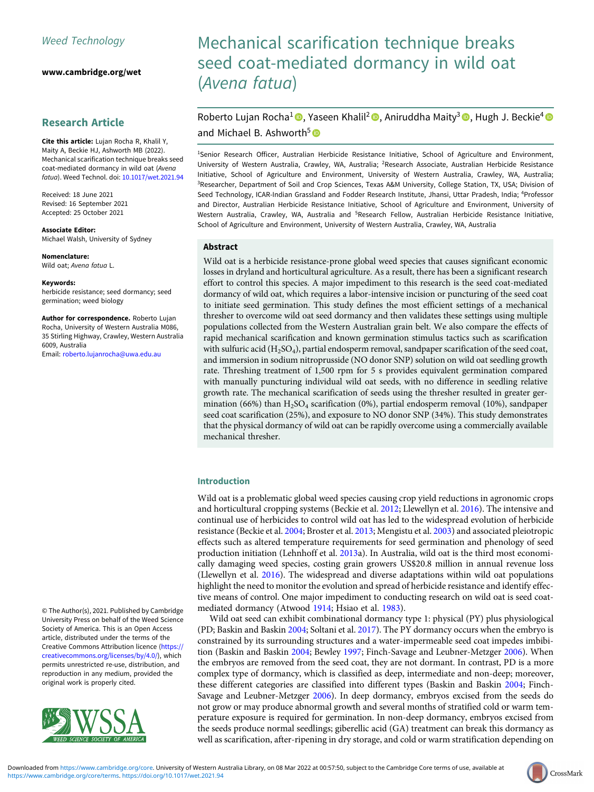[www.cambridge.org/wet](https://www.cambridge.org/wet)

# Research Article

Cite this article: Lujan Rocha R, Khalil Y, Maity A, Beckie HJ, Ashworth MB (2022). Mechanical scarification technique breaks seed coat-mediated dormancy in wild oat (Avena fatua). Weed Technol. doi: [10.1017/wet.2021.94](https://doi.org/10.1017/wet.2021.94)

Received: 18 June 2021 Revised: 16 September 2021 Accepted: 25 October 2021

Associate Editor: Michael Walsh, University of Sydney

Nomenclature: Wild oat; Avena fatua L.

Keywords:

herbicide resistance; seed dormancy; seed germination; weed biology

Author for correspondence. Roberto Lujan Rocha, University of Western Australia M086, 35 Stirling Highway, Crawley, Western Australia 6009, Australia

Email: [roberto.lujanrocha@uwa.edu.au](mailto:roberto.lujanrocha@uwa.edu.au)

© The Author(s), 2021. Published by Cambridge University Press on behalf of the Weed Science Society of America. This is an Open Access article, distributed under the terms of the Creative Commons Attribution licence [\(https://](https://creativecommons.org/licenses/by/4.0/) [creativecommons.org/licenses/by/4.0/\)](https://creativecommons.org/licenses/by/4.0/), which permits unrestricted re-use, distribution, and reproduction in any medium, provided the original work is properly cited.



# Mechanical scarification technique breaks seed coat-mediated dormancy in wild oat (Avena fatua)

Roberto Lujan Rocha<sup>1</sup><sup>®</sup>, Yaseen Khalil<sup>2</sup> ®, Aniruddha Maity<sup>3</sup> ®, Hugh J. Beckie<sup>4</sup> <sup>®</sup> and Michael B. Ashworth<sup>5</sup>

<sup>1</sup>Senior Research Officer, Australian Herbicide Resistance Initiative, School of Agriculture and Environment, University of Western Australia, Crawley, WA, Australia; <sup>2</sup>Research Associate, Australian Herbicide Resistance Initiative, School of Agriculture and Environment, University of Western Australia, Crawley, WA, Australia; <sup>3</sup>Researcher, Department of Soil and Crop Sciences, Texas A&M University, College Station, TX, USA; Division of Seed Technology, ICAR-Indian Grassland and Fodder Research Institute, Jhansi, Uttar Pradesh, India; <sup>4</sup>Professor and Director, Australian Herbicide Resistance Initiative, School of Agriculture and Environment, University of Western Australia, Crawley, WA, Australia and <sup>5</sup>Research Fellow, Australian Herbicide Resistance Initiative, School of Agriculture and Environment, University of Western Australia, Crawley, WA, Australia

#### Abstract

Wild oat is a herbicide resistance-prone global weed species that causes significant economic losses in dryland and horticultural agriculture. As a result, there has been a significant research effort to control this species. A major impediment to this research is the seed coat-mediated dormancy of wild oat, which requires a labor-intensive incision or puncturing of the seed coat to initiate seed germination. This study defines the most efficient settings of a mechanical thresher to overcome wild oat seed dormancy and then validates these settings using multiple populations collected from the Western Australian grain belt. We also compare the effects of rapid mechanical scarification and known germination stimulus tactics such as scarification with sulfuric acid  $(H_2SO_4)$ , partial endosperm removal, sandpaper scarification of the seed coat, and immersion in sodium nitroprusside (NO donor SNP) solution on wild oat seedling growth rate. Threshing treatment of 1,500 rpm for 5 s provides equivalent germination compared with manually puncturing individual wild oat seeds, with no difference in seedling relative growth rate. The mechanical scarification of seeds using the thresher resulted in greater germination (66%) than  $H_2SO_4$  scarification (0%), partial endosperm removal (10%), sandpaper seed coat scarification (25%), and exposure to NO donor SNP (34%). This study demonstrates that the physical dormancy of wild oat can be rapidly overcome using a commercially available mechanical thresher.

#### Introduction

Wild oat is a problematic global weed species causing crop yield reductions in agronomic crops and horticultural cropping systems (Beckie et al. [2012;](#page-6-0) Llewellyn et al. [2016](#page-7-0)). The intensive and continual use of herbicides to control wild oat has led to the widespread evolution of herbicide resistance (Beckie et al. [2004;](#page-6-0) Broster et al. [2013](#page-6-0); Mengistu et al. [2003\)](#page-7-0) and associated pleiotropic effects such as altered temperature requirements for seed germination and phenology of seed production initiation (Lehnhoff et al. [2013a](#page-7-0)). In Australia, wild oat is the third most economically damaging weed species, costing grain growers US\$20.8 million in annual revenue loss (Llewellyn et al. [2016\)](#page-7-0). The widespread and diverse adaptations within wild oat populations highlight the need to monitor the evolution and spread of herbicide resistance and identify effective means of control. One major impediment to conducting research on wild oat is seed coatmediated dormancy (Atwood [1914](#page-6-0); Hsiao et al. [1983](#page-7-0)).

Wild oat seed can exhibit combinational dormancy type 1: physical (PY) plus physiological (PD; Baskin and Baskin [2004](#page-6-0); Soltani et al. [2017](#page-7-0)). The PY dormancy occurs when the embryo is constrained by its surrounding structures and a water-impermeable seed coat impedes imbibition (Baskin and Baskin [2004](#page-6-0); Bewley [1997;](#page-6-0) Finch-Savage and Leubner-Metzger [2006\)](#page-6-0). When the embryos are removed from the seed coat, they are not dormant. In contrast, PD is a more complex type of dormancy, which is classified as deep, intermediate and non-deep; moreover, these different categories are classified into different types (Baskin and Baskin [2004;](#page-6-0) Finch-Savage and Leubner-Metzger [2006\)](#page-6-0). In deep dormancy, embryos excised from the seeds do not grow or may produce abnormal growth and several months of stratified cold or warm temperature exposure is required for germination. In non-deep dormancy, embryos excised from the seeds produce normal seedlings; giberellic acid (GA) treatment can break this dormancy as well as scarification, after-ripening in dry storage, and cold or warm stratification depending on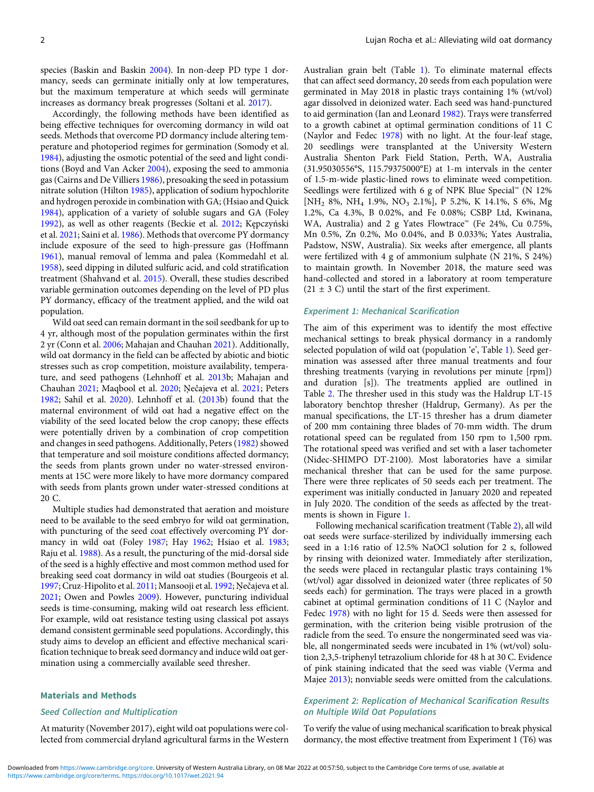species (Baskin and Baskin [2004](#page-6-0)). In non-deep PD type 1 dormancy, seeds can germinate initially only at low temperatures, but the maximum temperature at which seeds will germinate increases as dormancy break progresses (Soltani et al. [2017](#page-7-0)).

Accordingly, the following methods have been identified as being effective techniques for overcoming dormancy in wild oat seeds. Methods that overcome PD dormancy include altering temperature and photoperiod regimes for germination (Somody et al. [1984\)](#page-7-0), adjusting the osmotic potential of the seed and light conditions (Boyd and Van Acker [2004\)](#page-6-0), exposing the seed to ammonia gas (Cairns and De Villiers [1986\)](#page-6-0), presoaking the seed in potassium nitrate solution (Hilton [1985](#page-6-0)), application of sodium hypochlorite and hydrogen peroxide in combination with GA; (Hsiao and Quick [1984\)](#page-7-0), application of a variety of soluble sugars and GA (Foley [1992\)](#page-6-0), as well as other reagents (Beckie et al. [2012](#page-6-0); Kępczyński et al. [2021;](#page-7-0) Saini et al. [1986\)](#page-7-0). Methods that overcome PY dormancy include exposure of the seed to high-pressure gas (Hoffmann [1961\)](#page-7-0), manual removal of lemma and palea (Kommedahl et al. [1958\)](#page-7-0), seed dipping in diluted sulfuric acid, and cold stratification treatment (Shahvand et al. [2015](#page-7-0)). Overall, these studies described variable germination outcomes depending on the level of PD plus PY dormancy, efficacy of the treatment applied, and the wild oat population.

Wild oat seed can remain dormant in the soil seedbank for up to 4 yr, although most of the population germinates within the first 2 yr (Conn et al. [2006](#page-6-0); Mahajan and Chauhan [2021\)](#page-7-0). Additionally, wild oat dormancy in the field can be affected by abiotic and biotic stresses such as crop competition, moisture availability, temperature, and seed pathogens (Lehnhoff et al. [2013b](#page-7-0); Mahajan and Chauhan [2021;](#page-7-0) Maqbool et al. [2020;](#page-7-0) Ņečajeva et al. [2021](#page-7-0); Peters [1982;](#page-7-0) Sahil et al. [2020](#page-7-0)). Lehnhoff et al. [\(2013b](#page-7-0)) found that the maternal environment of wild oat had a negative effect on the viability of the seed located below the crop canopy; these effects were potentially driven by a combination of crop competition and changes in seed pathogens. Additionally, Peters ([1982\)](#page-7-0) showed that temperature and soil moisture conditions affected dormancy; the seeds from plants grown under no water-stressed environments at 15C were more likely to have more dormancy compared with seeds from plants grown under water-stressed conditions at 20 C.

Multiple studies had demonstrated that aeration and moisture need to be available to the seed embryo for wild oat germination, with puncturing of the seed coat effectively overcoming PY dormancy in wild oat (Foley [1987](#page-6-0); Hay [1962](#page-6-0); Hsiao et al. [1983](#page-7-0); Raju et al. [1988\)](#page-7-0). As a result, the puncturing of the mid-dorsal side of the seed is a highly effective and most common method used for breaking seed coat dormancy in wild oat studies (Bourgeois et al. [1997;](#page-6-0) Cruz-Hipolito et al. [2011](#page-6-0); Mansooji et al. [1992](#page-7-0); Ņečajeva et al. [2021;](#page-7-0) Owen and Powles [2009\)](#page-7-0). However, puncturing individual seeds is time-consuming, making wild oat research less efficient. For example, wild oat resistance testing using classical pot assays demand consistent germinable seed populations. Accordingly, this study aims to develop an efficient and effective mechanical scarification technique to break seed dormancy and induce wild oat germination using a commercially available seed thresher.

#### Materials and Methods

#### Seed Collection and Multiplication

At maturity (November 2017), eight wild oat populations were collected from commercial dryland agricultural farms in the Western Australian grain belt (Table [1\)](#page-2-0). To eliminate maternal effects that can affect seed dormancy, 20 seeds from each population were germinated in May 2018 in plastic trays containing 1% (wt/vol) agar dissolved in deionized water. Each seed was hand-punctured to aid germination (Ian and Leonard [1982\)](#page-7-0). Trays were transferred to a growth cabinet at optimal germination conditions of 11 C (Naylor and Fedec [1978\)](#page-7-0) with no light. At the four-leaf stage, 20 seedlings were transplanted at the University Western Australia Shenton Park Field Station, Perth, WA, Australia (31.95030556°S, 115.79375000°E) at 1-m intervals in the center of 1.5-m-wide plastic-lined rows to eliminate weed competition. Seedlings were fertilized with 6 g of NPK Blue Special™ (N 12% [NH<sub>2</sub> 8%, NH<sub>4</sub> 1.9%, NO<sub>3</sub> 2.1%], P 5.2%, K 14.1%, S 6%, Mg 1.2%, Ca 4.3%, B 0.02%, and Fe 0.08%; CSBP Ltd, Kwinana, WA, Australia) and 2 g Yates Flowtrace™ (Fe 24%, Cu 0.75%, Mn 0.5%, Zn 0.2%, Mo 0.04%, and B 0.033%; Yates Australia, Padstow, NSW, Australia). Six weeks after emergence, all plants were fertilized with 4 g of ammonium sulphate (N 21%, S 24%) to maintain growth. In November 2018, the mature seed was hand-collected and stored in a laboratory at room temperature  $(21 \pm 3 \text{ C})$  until the start of the first experiment.

#### Experiment 1: Mechanical Scarification

The aim of this experiment was to identify the most effective mechanical settings to break physical dormancy in a randomly selected population of wild oat (population 'e', Table [1\)](#page-2-0). Seed germination was assessed after three manual treatments and four threshing treatments (varying in revolutions per minute [rpm]) and duration [s]). The treatments applied are outlined in Table [2](#page-2-0). The thresher used in this study was the Haldrup LT-15 laboratory benchtop thresher (Haldrup, Germany). As per the manual specifications, the LT-15 thresher has a drum diameter of 200 mm containing three blades of 70-mm width. The drum rotational speed can be regulated from 150 rpm to 1,500 rpm. The rotational speed was verified and set with a laser tachometer (Nidec-SHIMPO DT-2100). Most laboratories have a similar mechanical thresher that can be used for the same purpose. There were three replicates of 50 seeds each per treatment. The experiment was initially conducted in January 2020 and repeated in July 2020. The condition of the seeds as affected by the treatments is shown in Figure [1](#page-3-0).

Following mechanical scarification treatment (Table [2](#page-2-0)), all wild oat seeds were surface-sterilized by individually immersing each seed in a 1:16 ratio of 12.5% NaOCl solution for 2 s, followed by rinsing with deionized water. Immediately after sterilization, the seeds were placed in rectangular plastic trays containing 1% (wt/vol) agar dissolved in deionized water (three replicates of 50 seeds each) for germination. The trays were placed in a growth cabinet at optimal germination conditions of 11 C (Naylor and Fedec [1978\)](#page-7-0) with no light for 15 d. Seeds were then assessed for germination, with the criterion being visible protrusion of the radicle from the seed. To ensure the nongerminated seed was viable, all nongerminated seeds were incubated in 1% (wt/vol) solution 2,3,5-triphenyl tetrazolium chloride for 48 h at 30 C. Evidence of pink staining indicated that the seed was viable (Verma and Majee [2013](#page-7-0)); nonviable seeds were omitted from the calculations.

# Experiment 2: Replication of Mechanical Scarification Results on Multiple Wild Oat Populations

To verify the value of using mechanical scarification to break physical dormancy, the most effective treatment from Experiment 1 (T6) was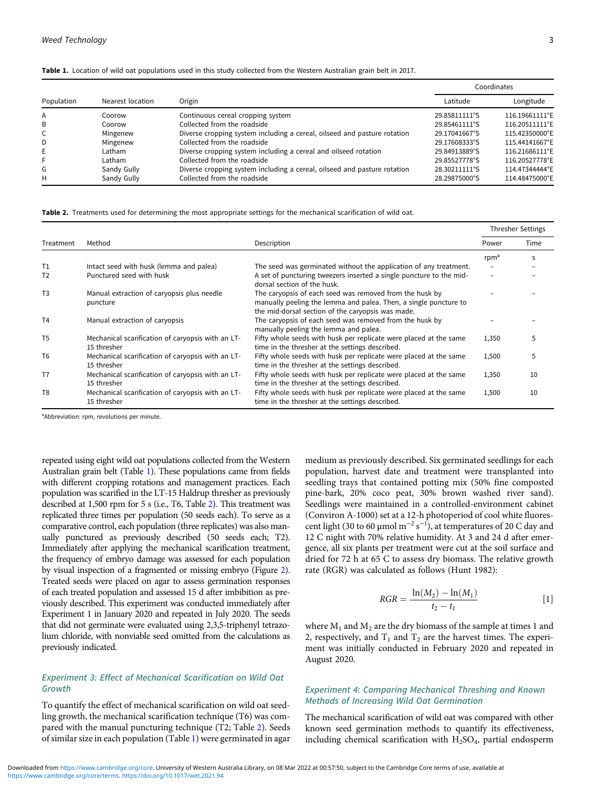|            |                  |                                                                          | Coordinates   |                |  |
|------------|------------------|--------------------------------------------------------------------------|---------------|----------------|--|
| Population | Nearest location | Origin                                                                   | Latitude      | Longitude      |  |
| A          | Coorow           | Continuous cereal cropping system                                        | 29.85811111°S | 116.19661111°E |  |
| B          | Coorow           | Collected from the roadside                                              | 29.85461111°S | 116.20511111°E |  |
| C          | Mingenew         | Diverse cropping system including a cereal, oilseed and pasture rotation | 29.17041667°S | 115.42350000°E |  |
| D          | Mingenew         | Collected from the roadside                                              | 29.17608333°S | 115.44141667°E |  |
| E          | Latham           | Diverse cropping system including a cereal and oilseed rotation          | 29.84913889°S | 116.21686111°E |  |
| F          | Latham           | Collected from the roadside                                              | 29.85527778°S | 116.20527778°E |  |
| G          | Sandy Gully      | Diverse cropping system including a cereal, oilseed and pasture rotation | 28.30211111°S | 114.47344444°E |  |
| н          | Sandy Gully      | Collected from the roadside                                              | 28.29875000°S | 114.48475000°E |  |

<span id="page-2-0"></span>Table 1. Location of wild oat populations used in this study collected from the Western Australian grain belt in 2017.

Table 2. Treatments used for determining the most appropriate settings for the mechanical scarification of wild oat.

|                |                                                                  |                                                                                                                                                                                  |                  | <b>Thresher Settings</b> |
|----------------|------------------------------------------------------------------|----------------------------------------------------------------------------------------------------------------------------------------------------------------------------------|------------------|--------------------------|
| Treatment      | Method                                                           | Description                                                                                                                                                                      | Power            | Time                     |
|                |                                                                  |                                                                                                                                                                                  | rpm <sup>a</sup> | s                        |
| T <sub>1</sub> | Intact seed with husk (lemma and palea)                          | The seed was germinated without the application of any treatment.                                                                                                                |                  |                          |
| T <sub>2</sub> | Punctured seed with husk                                         | A set of puncturing tweezers inserted a single puncture to the mid-<br>dorsal section of the husk.                                                                               |                  |                          |
| T <sub>3</sub> | Manual extraction of caryopsis plus needle<br>puncture           | The caryopsis of each seed was removed from the husk by<br>manually peeling the lemma and palea. Then, a single puncture to<br>the mid-dorsal section of the caryopsis was made. |                  |                          |
| T <sub>4</sub> | Manual extraction of caryopsis                                   | The caryopsis of each seed was removed from the husk by<br>manually peeling the lemma and palea.                                                                                 |                  |                          |
| T <sub>5</sub> | Mechanical scarification of caryopsis with an LT-<br>15 thresher | Fifty whole seeds with husk per replicate were placed at the same<br>time in the thresher at the settings described.                                                             | 1,350            | 5                        |
| T <sub>6</sub> | Mechanical scarification of caryopsis with an LT-<br>15 thresher | Fifty whole seeds with husk per replicate were placed at the same<br>time in the thresher at the settings described.                                                             | 1,500            | 5                        |
| T <sub>7</sub> | Mechanical scarification of caryopsis with an LT-<br>15 thresher | Fifty whole seeds with husk per replicate were placed at the same<br>time in the thresher at the settings described.                                                             | 1,350            | 10                       |
| T <sub>8</sub> | Mechanical scarification of caryopsis with an LT-<br>15 thresher | Fifty whole seeds with husk per replicate were placed at the same<br>time in the thresher at the settings described.                                                             | 1,500            | 10                       |

aAbbreviation: rpm, revolutions per minute.

repeated using eight wild oat populations collected from the Western Australian grain belt (Table 1). These populations came from fields with different cropping rotations and management practices. Each population was scarified in the LT-15 Haldrup thresher as previously described at 1,500 rpm for 5 s (i.e., T6, Table 2). This treatment was replicated three times per population (50 seeds each). To serve as a comparative control, each population (three replicates) was also manually punctured as previously described (50 seeds each; T2). Immediately after applying the mechanical scarification treatment, the frequency of embryo damage was assessed for each population by visual inspection of a fragmented or missing embryo (Figure [2\)](#page-3-0). Treated seeds were placed on agar to assess germination responses of each treated population and assessed 15 d after imbibition as previously described. This experiment was conducted immediately after Experiment 1 in January 2020 and repeated in July 2020. The seeds that did not germinate were evaluated using 2,3,5-triphenyl tetrazolium chloride, with nonviable seed omitted from the calculations as previously indicated.

# Experiment 3: Effect of Mechanical Scarification on Wild Oat Growth

To quantify the effect of mechanical scarification on wild oat seedling growth, the mechanical scarification technique (T6) was compared with the manual puncturing technique (T2; Table 2). Seeds of similar size in each population (Table 1) were germinated in agar medium as previously described. Six germinated seedlings for each population, harvest date and treatment were transplanted into seedling trays that contained potting mix (50% fine composted pine-bark, 20% coco peat, 30% brown washed river sand). Seedlings were maintained in a controlled-environment cabinet (Conviron A-1000) set at a 12-h photoperiod of cool white fluorescent light (30 to 60 µmol m<sup>-2</sup> s<sup>-1</sup>), at temperatures of 20 C day and 12 C night with 70% relative humidity. At 3 and 24 d after emergence, all six plants per treatment were cut at the soil surface and dried for 72 h at 65 C to assess dry biomass. The relative growth rate (RGR) was calculated as follows (Hunt 1982):

$$
RGR = \frac{\ln(M_2) - \ln(M_1)}{t_2 - t_1} \tag{1}
$$

where  $M_1$  and  $M_2$  are the dry biomass of the sample at times 1 and 2, respectively, and  $T_1$  and  $T_2$  are the harvest times. The experiment was initially conducted in February 2020 and repeated in August 2020.

# Experiment 4: Comparing Mechanical Threshing and Known Methods of Increasing Wild Oat Germination

The mechanical scarification of wild oat was compared with other known seed germination methods to quantify its effectiveness, including chemical scarification with  $H<sub>2</sub>SO<sub>4</sub>$ , partial endosperm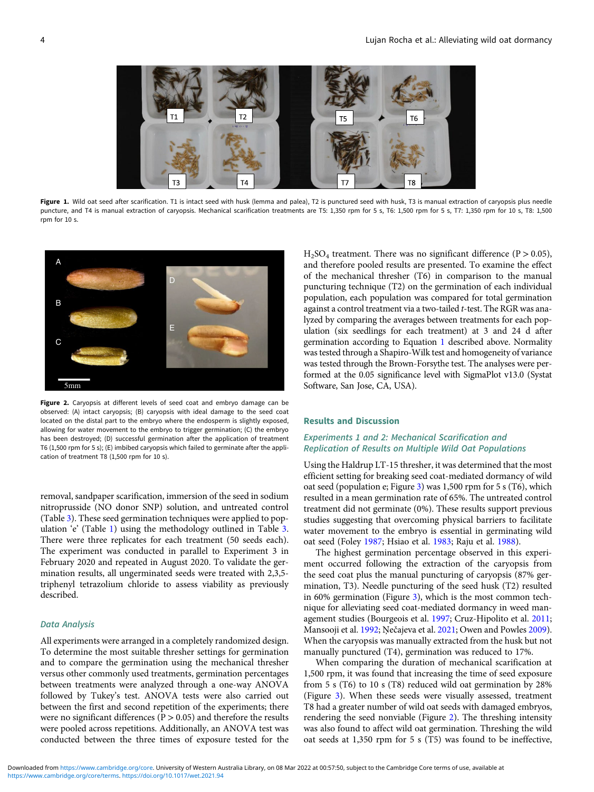<span id="page-3-0"></span>

Figure 1. Wild oat seed after scarification. T1 is intact seed with husk (lemma and palea), T2 is punctured seed with husk, T3 is manual extraction of caryopsis plus needle puncture, and T4 is manual extraction of caryopsis. Mechanical scarification treatments are T5: 1,350 rpm for 5 s, T6: 1,500 rpm for 5 s, T7: 1,350 rpm for 10 s, T8: 1,500 rpm for 10 s.



Figure 2. Caryopsis at different levels of seed coat and embryo damage can be observed: (A) intact caryopsis; (B) caryopsis with ideal damage to the seed coat located on the distal part to the embryo where the endosperm is slightly exposed, allowing for water movement to the embryo to trigger germination; (C) the embryo has been destroyed; (D) successful germination after the application of treatment T6 (1,500 rpm for 5 s); (E) imbibed caryopsis which failed to germinate after the application of treatment T8 (1,500 rpm for 10 s).

removal, sandpaper scarification, immersion of the seed in sodium nitroprusside (NO donor SNP) solution, and untreated control (Table [3](#page-4-0)). These seed germination techniques were applied to population 'e' (Table [1](#page-2-0)) using the methodology outlined in Table [3](#page-4-0). There were three replicates for each treatment (50 seeds each). The experiment was conducted in parallel to Experiment 3 in February 2020 and repeated in August 2020. To validate the germination results, all ungerminated seeds were treated with 2,3,5 triphenyl tetrazolium chloride to assess viability as previously described.

#### Data Analysis

All experiments were arranged in a completely randomized design. To determine the most suitable thresher settings for germination and to compare the germination using the mechanical thresher versus other commonly used treatments, germination percentages between treatments were analyzed through a one-way ANOVA followed by Tukey's test. ANOVA tests were also carried out between the first and second repetition of the experiments; there were no significant differences ( $P > 0.05$ ) and therefore the results were pooled across repetitions. Additionally, an ANOVA test was conducted between the three times of exposure tested for the

 $H<sub>2</sub>SO<sub>4</sub>$  treatment. There was no significant difference (P > 0.05), and therefore pooled results are presented. To examine the effect of the mechanical thresher (T6) in comparison to the manual puncturing technique (T2) on the germination of each individual population, each population was compared for total germination against a control treatment via a two-tailed t-test. The RGR was analyzed by comparing the averages between treatments for each population (six seedlings for each treatment) at 3 and 24 d after germination according to Equation [1](#page-2-0) described above. Normality was tested through a Shapiro-Wilk test and homogeneity of variance was tested through the Brown-Forsythe test. The analyses were performed at the 0.05 significance level with SigmaPlot v13.0 (Systat Software, San Jose, CA, USA).

#### Results and Discussion

# Experiments 1 and 2: Mechanical Scarification and Replication of Results on Multiple Wild Oat Populations

Using the Haldrup LT-15 thresher, it was determined that the most efficient setting for breaking seed coat-mediated dormancy of wild oat seed (population e; Figure [3](#page-4-0)) was 1,500 rpm for 5 s (T6), which resulted in a mean germination rate of 65%. The untreated control treatment did not germinate (0%). These results support previous studies suggesting that overcoming physical barriers to facilitate water movement to the embryo is essential in germinating wild oat seed (Foley [1987](#page-6-0); Hsiao et al. [1983](#page-7-0); Raju et al. [1988\)](#page-7-0).

The highest germination percentage observed in this experiment occurred following the extraction of the caryopsis from the seed coat plus the manual puncturing of caryopsis (87% germination, T3). Needle puncturing of the seed husk (T2) resulted in 60% germination (Figure [3](#page-4-0)), which is the most common technique for alleviating seed coat-mediated dormancy in weed management studies (Bourgeois et al. [1997;](#page-6-0) Cruz-Hipolito et al. [2011](#page-6-0); Mansooji et al. [1992;](#page-7-0) Ņečajeva et al. [2021;](#page-7-0) Owen and Powles [2009](#page-7-0)). When the caryopsis was manually extracted from the husk but not manually punctured (T4), germination was reduced to 17%.

When comparing the duration of mechanical scarification at 1,500 rpm, it was found that increasing the time of seed exposure from 5 s (T6) to 10 s (T8) reduced wild oat germination by 28% (Figure [3\)](#page-4-0). When these seeds were visually assessed, treatment T8 had a greater number of wild oat seeds with damaged embryos, rendering the seed nonviable (Figure 2). The threshing intensity was also found to affect wild oat germination. Threshing the wild oat seeds at 1,350 rpm for 5 s (T5) was found to be ineffective,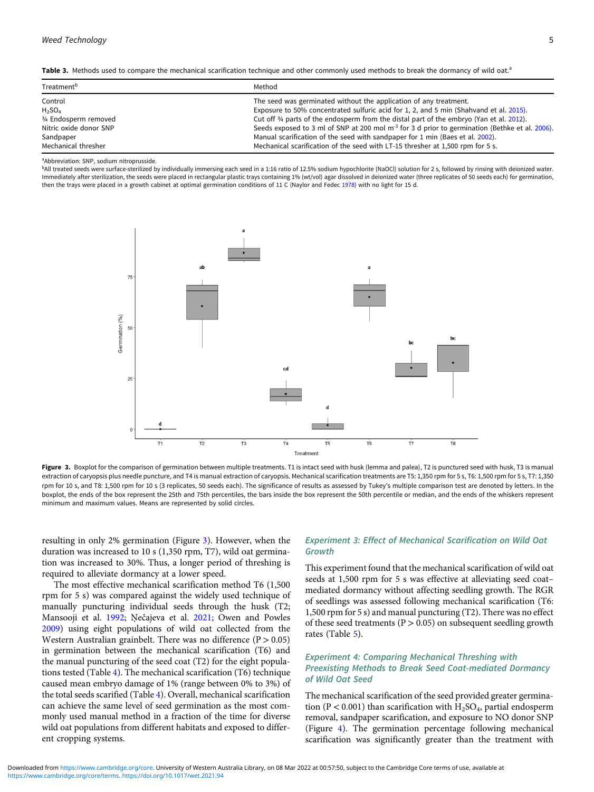<span id="page-4-0"></span>

| Table 3. Methods used to compare the mechanical scarification technique and other commonly used methods to break the dormancy of wild oat. <sup>3</sup> |  |  |  |
|---------------------------------------------------------------------------------------------------------------------------------------------------------|--|--|--|
|---------------------------------------------------------------------------------------------------------------------------------------------------------|--|--|--|

| Treatment <sup>b</sup> | Method                                                                                                    |
|------------------------|-----------------------------------------------------------------------------------------------------------|
| Control                | The seed was germinated without the application of any treatment.                                         |
| $H_2SO_4$              | Exposure to 50% concentrated sulfuric acid for 1, 2, and 5 min (Shahvand et al. 2015).                    |
| 3/4 Endosperm removed  | Cut off $\frac{3}{4}$ parts of the endosperm from the distal part of the embryo (Yan et al. 2012).        |
| Nitric oxide donor SNP | Seeds exposed to 3 ml of SNP at 200 mol m <sup>3</sup> for 3 d prior to germination (Bethke et al. 2006). |
| Sandpaper              | Manual scarification of the seed with sandpaper for 1 min (Baes et al. 2002).                             |
| Mechanical thresher    | Mechanical scarification of the seed with LT-15 thresher at 1,500 rpm for 5 s.                            |

a Abbreviation: SNP, sodium nitroprusside.

b<sub>All</sub> treated seeds were surface-sterilized by individually immersing each seed in a 1:16 ratio of 12.5% sodium hypochlorite (NaOCl) solution for 2 s, followed by rinsing with deionized water. Immediately after sterilization, the seeds were placed in rectangular plastic trays containing 1% (wt/vol) agar dissolved in deionized water (three replicates of 50 seeds each) for germination, then the trays were placed in a growth cabinet at optimal germination conditions of 11 C (Naylor and Fedec [1978](#page-7-0)) with no light for 15 d.



Figure 3. Boxplot for the comparison of germination between multiple treatments. T1 is intact seed with husk (lemma and palea), T2 is punctured seed with husk, T3 is manual extraction of caryopsis plus needle puncture, and T4 is manual extraction of caryopsis. Mechanical scarification treatments are T5: 1,350 rpm for 5 s, T6: 1,500 rpm for 5 s, T7: 1,350 rpm for 10 s, and T8: 1,500 rpm for 10 s (3 replicates, 50 seeds each). The significance of results as assessed by Tukey's multiple comparison test are denoted by letters. In the boxplot, the ends of the box represent the 25th and 75th percentiles, the bars inside the box represent the 50th percentile or median, and the ends of the whiskers represent minimum and maximum values. Means are represented by solid circles.

resulting in only 2% germination (Figure 3). However, when the duration was increased to 10 s (1,350 rpm, T7), wild oat germination was increased to 30%. Thus, a longer period of threshing is required to alleviate dormancy at a lower speed.

The most effective mechanical scarification method T6 (1,500 rpm for 5 s) was compared against the widely used technique of manually puncturing individual seeds through the husk (T2; Mansooji et al. [1992;](#page-7-0) Ņečajeva et al. [2021](#page-7-0); Owen and Powles [2009](#page-7-0)) using eight populations of wild oat collected from the Western Australian grainbelt. There was no difference  $(P > 0.05)$ in germination between the mechanical scarification (T6) and the manual puncturing of the seed coat (T2) for the eight populations tested (Table [4\)](#page-5-0). The mechanical scarification (T6) technique caused mean embryo damage of 1% (range between 0% to 3%) of the total seeds scarified (Table [4\)](#page-5-0). Overall, mechanical scarification can achieve the same level of seed germination as the most commonly used manual method in a fraction of the time for diverse wild oat populations from different habitats and exposed to different cropping systems.

# Experiment 3: Effect of Mechanical Scarification on Wild Oat Growth

This experiment found that the mechanical scarification of wild oat seeds at 1,500 rpm for 5 s was effective at alleviating seed coat– mediated dormancy without affecting seedling growth. The RGR of seedlings was assessed following mechanical scarification (T6: 1,500 rpm for 5 s) and manual puncturing (T2). There was no effect of these seed treatments ( $P > 0.05$ ) on subsequent seedling growth rates (Table [5\)](#page-5-0).

# Experiment 4: Comparing Mechanical Threshing with Preexisting Methods to Break Seed Coat-mediated Dormancy of Wild Oat Seed

The mechanical scarification of the seed provided greater germination (P < 0.001) than scarification with  $H_2SO_4$ , partial endosperm removal, sandpaper scarification, and exposure to NO donor SNP (Figure [4](#page-6-0)). The germination percentage following mechanical scarification was significantly greater than the treatment with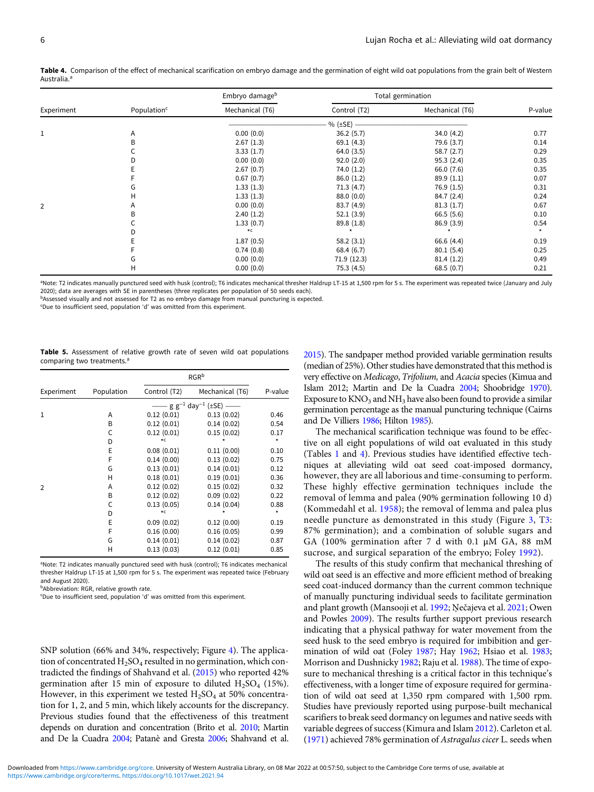|            |                         | Embryo damage <sup>b</sup> |              | Total germination |         |
|------------|-------------------------|----------------------------|--------------|-------------------|---------|
| Experiment | Population <sup>c</sup> | Mechanical (T6)            | Control (T2) | Mechanical (T6)   | P-value |
|            |                         |                            | % $(\pm SE)$ |                   |         |
| 1          | A                       | 0.00(0.0)                  | 36.2(5.7)    | 34.0 (4.2)        | 0.77    |
|            | В                       | 2.67(1.3)                  | 69.1(4.3)    | 79.6 (3.7)        | 0.14    |
|            |                         | 3.33(1.7)                  | 64.0(3.5)    | 58.7(2.7)         | 0.29    |
|            |                         | 0.00(0.0)                  | 92.0(2.0)    | 95.3(2.4)         | 0.35    |
|            |                         | 2.67(0.7)                  | 74.0 (1.2)   | 66.0 (7.6)        | 0.35    |
|            |                         | 0.67(0.7)                  | 86.0(1.2)    | 89.9(1.1)         | 0.07    |
|            | G                       | 1.33(1.3)                  | 71.3(4.7)    | 76.9(1.5)         | 0.31    |
|            | н                       | 1.33(1.3)                  | 88.0 (0.0)   | 84.7 (2.4)        | 0.24    |
| 2          | Α                       | 0.00(0.0)                  | 83.7 (4.9)   | 81.3(1.7)         | 0.67    |
|            | В                       | 2.40(1.2)                  | 52.1(3.9)    | 66.5(5.6)         | 0.10    |
|            |                         | 1.33(0.7)                  | 89.8 (1.8)   | 86.9(3.9)         | 0.54    |
|            |                         | $\star$ C                  |              |                   |         |
|            |                         | 1.87(0.5)                  | 58.2(3.1)    | 66.6 (4.4)        | 0.19    |
|            |                         | 0.74(0.8)                  | 68.4(6.7)    | 80.1(5.4)         | 0.25    |
|            | G                       | 0.00(0.0)                  | 71.9 (12.3)  | 81.4(1.2)         | 0.49    |
|            | н                       | 0.00(0.0)                  | 75.3 (4.5)   | 68.5(0.7)         | 0.21    |

<span id="page-5-0"></span>Table 4. Comparison of the effect of mechanical scarification on embryo damage and the germination of eight wild oat populations from the grain belt of Western Australia.<sup>a</sup>

a Note: T2 indicates manually punctured seed with husk (control); T6 indicates mechanical thresher Haldrup LT-15 at 1,500 rpm for 5 s. The experiment was repeated twice (January and July 2020); data are averages with SE in parentheses (three replicates per population of 50 seeds each).

bAssessed visually and not assessed for T2 as no embryo damage from manual puncturing is expected.

c Due to insufficient seed, population 'd' was omitted from this experiment.

|  |                                        |  |  |  |  | <b>Table 5.</b> Assessment of relative growth rate of seven wild oat populations |
|--|----------------------------------------|--|--|--|--|----------------------------------------------------------------------------------|
|  | comparing two treatments. <sup>a</sup> |  |  |  |  |                                                                                  |

|                |            | RGR <sup>b</sup>                               |                 |         |
|----------------|------------|------------------------------------------------|-----------------|---------|
| Experiment     | Population | Control (T2)                                   | Mechanical (T6) | P-value |
|                |            | – g g <sup>–1</sup> day <sup>–1</sup> (±SE) —— |                 |         |
| $\mathbf{1}$   | Α          | 0.12(0.01)                                     | 0.13(0.02)      | 0.46    |
|                | B          | 0.12(0.01)                                     | 0.14(0.02)      | 0.54    |
|                | C          | 0.12(0.01)                                     | 0.15(0.02)      | 0.17    |
|                | D          | $\star$ C                                      |                 | $\star$ |
|                | E          | 0.08(0.01)                                     | 0.11(0.00)      | 0.10    |
|                | F          | 0.14(0.00)                                     | 0.13(0.02)      | 0.75    |
|                | G          | 0.13(0.01)                                     | 0.14(0.01)      | 0.12    |
|                | н          | 0.18(0.01)                                     | 0.19(0.01)      | 0.36    |
| $\overline{2}$ | Α          | 0.12(0.02)                                     | 0.15(0.02)      | 0.32    |
|                | B          | 0.12(0.02)                                     | 0.09(0.02)      | 0.22    |
|                | C          | 0.13(0.05)                                     | 0.14(0.04)      | 0.88    |
|                | D          | $\star$ C                                      |                 | $\star$ |
|                | E          | 0.09(0.02)                                     | 0.12(0.00)      | 0.19    |
|                | F          | 0.16(0.00)                                     | 0.16(0.05)      | 0.99    |
|                | G          | 0.14(0.01)                                     | 0.14(0.02)      | 0.87    |
|                | н          | 0.13(0.03)                                     | 0.12(0.01)      | 0.85    |

<sup>a</sup>Note: T2 indicates manually punctured seed with husk (control); T6 indicates mechanical thresher Haldrup LT-15 at 1,500 rpm for 5 s. The experiment was repeated twice (February and August 2020).

**b**Abbreviation: RGR, relative growth rate.

c Due to insufficient seed, population 'd' was omitted from this experiment.

SNP solution (66% and 34%, respectively; Figure [4\)](#page-6-0). The application of concentrated  $H_2SO_4$  resulted in no germination, which contradicted the findings of Shahvand et al. [\(2015\)](#page-7-0) who reported 42% germination after 15 min of exposure to diluted  $H_2SO_4$  (15%). However, in this experiment we tested  $H_2SO_4$  at 50% concentration for 1, 2, and 5 min, which likely accounts for the discrepancy. Previous studies found that the effectiveness of this treatment depends on duration and concentration (Brito et al. [2010](#page-6-0); Martin and De la Cuadra [2004;](#page-7-0) Patanè and Gresta [2006;](#page-7-0) Shahvand et al. [2015\)](#page-7-0). The sandpaper method provided variable germination results (median of 25%). Other studies have demonstrated that this method is very effective on Medicago, Trifolium, and Acacia species (Kimua and Islam 2012; Martin and De la Cuadra [2004](#page-7-0); Shoobridge [1970](#page-7-0)). Exposure to  $KNO_3$  and  $NH_3$  have also been found to provide a similar germination percentage as the manual puncturing technique (Cairns and De Villiers [1986](#page-6-0); Hilton [1985](#page-6-0)).

The mechanical scarification technique was found to be effective on all eight populations of wild oat evaluated in this study (Tables [1](#page-2-0) and 4). Previous studies have identified effective techniques at alleviating wild oat seed coat-imposed dormancy, however, they are all laborious and time-consuming to perform. These highly effective germination techniques include the removal of lemma and palea (90% germination following 10 d) (Kommedahl et al. [1958](#page-7-0)); the removal of lemma and palea plus needle puncture as demonstrated in this study (Figure [3,](#page-4-0) T[3](#page-4-0): 87% germination); and a combination of soluble sugars and GA (100% germination after 7 d with 0.1 μM GA, 88 mM sucrose, and surgical separation of the embryo; Foley [1992](#page-6-0)).

The results of this study confirm that mechanical threshing of wild oat seed is an effective and more efficient method of breaking seed coat-induced dormancy than the current common technique of manually puncturing individual seeds to facilitate germination and plant growth (Mansooji et al. [1992](#page-7-0); Ņečajeva et al. [2021;](#page-7-0) Owen and Powles [2009\)](#page-7-0). The results further support previous research indicating that a physical pathway for water movement from the seed husk to the seed embryo is required for imbibition and ger-mination of wild oat (Foley [1987](#page-6-0); Hay [1962;](#page-6-0) Hsiao et al. [1983](#page-7-0); Morrison and Dushnicky [1982](#page-7-0); Raju et al. [1988\)](#page-7-0). The time of exposure to mechanical threshing is a critical factor in this technique's effectiveness, with a longer time of exposure required for germination of wild oat seed at 1,350 rpm compared with 1,500 rpm. Studies have previously reported using purpose-built mechanical scarifiers to break seed dormancy on legumes and native seeds with variable degrees of success (Kimura and Islam [2012\)](#page-7-0). Carleton et al. ([1971\)](#page-6-0) achieved 78% germination of Astragalus cicer L. seeds when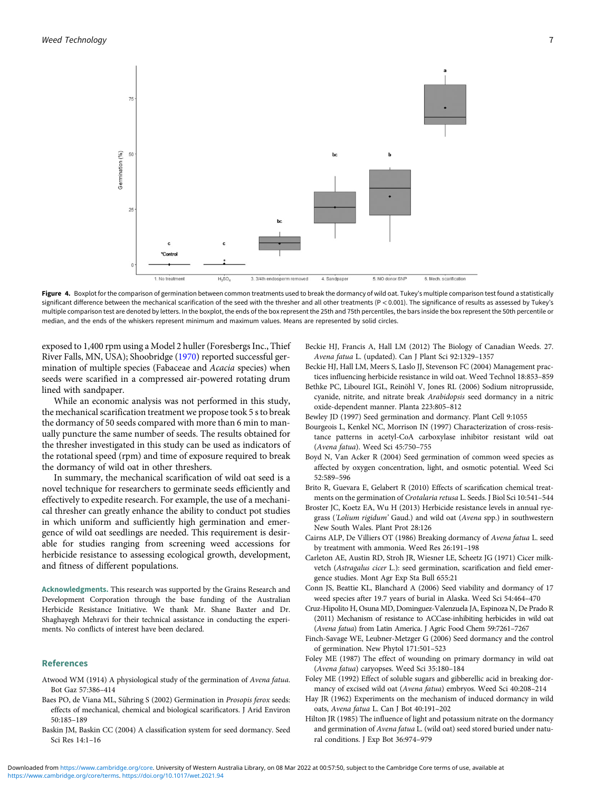<span id="page-6-0"></span>

Figure 4. Boxplot for the comparison of germination between common treatments used to break the dormancy of wild oat. Tukey's multiple comparison test found a statistically significant difference between the mechanical scarification of the seed with the thresher and all other treatments (P < 0.001). The significance of results as assessed by Tukey's multiple comparison test are denoted by letters. In the boxplot, the ends of the box represent the 25th and 75th percentiles, the bars inside the box represent the 50th percentile or median, and the ends of the whiskers represent minimum and maximum values. Means are represented by solid circles.

exposed to 1,400 rpm using a Model 2 huller (Foresbergs Inc., Thief River Falls, MN, USA); Shoobridge ([1970\)](#page-7-0) reported successful germination of multiple species (Fabaceae and Acacia species) when seeds were scarified in a compressed air-powered rotating drum lined with sandpaper.

While an economic analysis was not performed in this study, the mechanical scarification treatment we propose took 5 s to break the dormancy of 50 seeds compared with more than 6 min to manually puncture the same number of seeds. The results obtained for the thresher investigated in this study can be used as indicators of the rotational speed (rpm) and time of exposure required to break the dormancy of wild oat in other threshers.

In summary, the mechanical scarification of wild oat seed is a novel technique for researchers to germinate seeds efficiently and effectively to expedite research. For example, the use of a mechanical thresher can greatly enhance the ability to conduct pot studies in which uniform and sufficiently high germination and emergence of wild oat seedlings are needed. This requirement is desirable for studies ranging from screening weed accessions for herbicide resistance to assessing ecological growth, development, and fitness of different populations.

Acknowledgments. This research was supported by the Grains Research and Development Corporation through the base funding of the Australian Herbicide Resistance Initiative. We thank Mr. Shane Baxter and Dr. Shaghayegh Mehravi for their technical assistance in conducting the experiments. No conflicts of interest have been declared.

### References

- Atwood WM (1914) A physiological study of the germination of Avena fatua. Bot Gaz 57:386–414
- Baes PO, de Viana ML, Sühring S (2002) Germination in Prosopis ferox seeds: effects of mechanical, chemical and biological scarificators. J Arid Environ 50:185–189
- Baskin JM, Baskin CC (2004) A classification system for seed dormancy. Seed Sci Res 14:1–16
- Beckie HJ, Francis A, Hall LM (2012) The Biology of Canadian Weeds. 27. Avena fatua L. (updated). Can J Plant Sci 92:1329–1357
- Beckie HJ, Hall LM, Meers S, Laslo JJ, Stevenson FC (2004) Management practices influencing herbicide resistance in wild oat. Weed Technol 18:853–859
- Bethke PC, Libourel IGL, Reinöhl V, Jones RL (2006) Sodium nitroprusside, cyanide, nitrite, and nitrate break Arabidopsis seed dormancy in a nitric
- oxide-dependent manner. Planta 223:805–812
- Bewley JD (1997) Seed germination and dormancy. Plant Cell 9:1055
- Bourgeois L, Kenkel NC, Morrison IN (1997) Characterization of cross-resistance patterns in acetyl-CoA carboxylase inhibitor resistant wild oat (Avena fatua). Weed Sci 45:750–755
- Boyd N, Van Acker R (2004) Seed germination of common weed species as affected by oxygen concentration, light, and osmotic potential. Weed Sci 52:589–596
- Brito R, Guevara E, Gelabert R (2010) Effects of scarification chemical treatments on the germination of Crotalaria retusa L. Seeds. J Biol Sci 10:541–544
- Broster JC, Koetz EA, Wu H (2013) Herbicide resistance levels in annual ryegrass ('Lolium rigidum' Gaud.) and wild oat (Avena spp.) in southwestern New South Wales. Plant Prot 28:126
- Cairns ALP, De Villiers OT (1986) Breaking dormancy of Avena fatua L. seed by treatment with ammonia. Weed Res 26:191–198
- Carleton AE, Austin RD, Stroh JR, Wiesner LE, Scheetz JG (1971) Cicer milkvetch (Astragalus cicer L.): seed germination, scarification and field emergence studies. Mont Agr Exp Sta Bull 655:21
- Conn JS, Beattie KL, Blanchard A (2006) Seed viability and dormancy of 17 weed species after 19.7 years of burial in Alaska. Weed Sci 54:464–470
- Cruz-Hipolito H, Osuna MD, Dominguez-Valenzuela JA, Espinoza N, De Prado R (2011) Mechanism of resistance to ACCase-inhibiting herbicides in wild oat (Avena fatua) from Latin America. J Agric Food Chem 59:7261–7267
- Finch-Savage WE, Leubner-Metzger G (2006) Seed dormancy and the control of germination. New Phytol 171:501–523
- Foley ME (1987) The effect of wounding on primary dormancy in wild oat (Avena fatua) caryopses. Weed Sci 35:180–184
- Foley ME (1992) Effect of soluble sugars and gibberellic acid in breaking dormancy of excised wild oat (Avena fatua) embryos. Weed Sci 40:208–214
- Hay JR (1962) Experiments on the mechanism of induced dormancy in wild oats, Avena fatua L. Can J Bot 40:191–202
- Hilton JR (1985) The influence of light and potassium nitrate on the dormancy and germination of Avena fatua L. (wild oat) seed stored buried under natural conditions. J Exp Bot 36:974–979